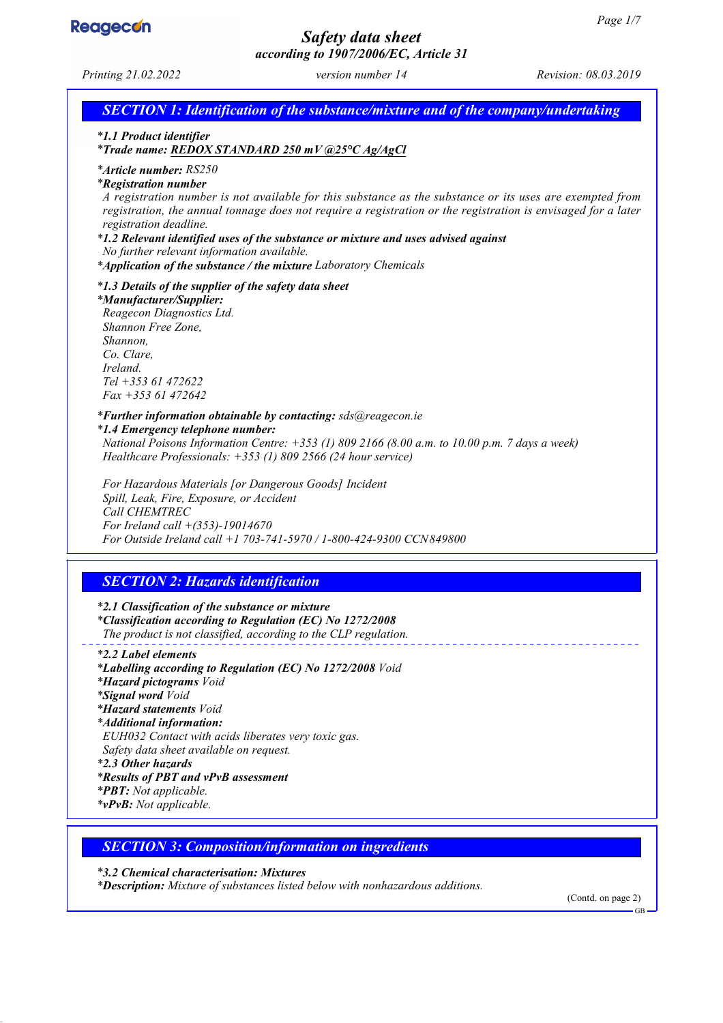

*Printing 21.02.2022 version number 14 Revision: 08.03.2019*

*SECTION 1: Identification of the substance/mixture and of the company/undertaking \* 1.1 Product identifier*

*\* Trade name: REDOX STANDARD 250 mV @25°C Ag/AgCl*

*\* Article number: RS250*

*\* Registration number*

*A registration number is not available for this substance as the substance or its uses are exempted from registration, the annual tonnage does not require a registration or the registration is envisaged for a later registration deadline.*

*\* 1.2 Relevant identified uses of the substance or mixture and uses advised against*

*No further relevant information available.*

*\* Application of the substance / the mixture Laboratory Chemicals*

*\* 1.3 Details of the supplier of the safety data sheet*

*\* Manufacturer/Supplier:*

*Reagecon Diagnostics Ltd. Shannon Free Zone, Shannon, Co. Clare, Ireland. Tel +353 61 472622 Fax +353 61 472642*

*\* Further information obtainable by contacting: sds@reagecon.ie*

*\* 1.4 Emergency telephone number: National Poisons Information Centre: +353 (1) 809 2166 (8.00 a.m. to 10.00 p.m. 7 days a week) Healthcare Professionals: +353 (1) 809 2566 (24 hour service)*

*For Hazardous Materials [or Dangerous Goods] Incident Spill, Leak, Fire, Exposure, or Accident Call CHEMTREC For Ireland call +(353)-19014670 For Outside Ireland call +1 703-741-5970 / 1-800-424-9300 CCN849800*

## *SECTION 2: Hazards identification*

*\* 2.1 Classification of the substance or mixture \* Classification according to Regulation (EC) No 1272/2008 The product is not classified, according to the CLP regulation.*

*\* 2.2 Label elements \* Labelling according to Regulation (EC) No 1272/2008 Void \* Hazard pictograms Void \* Signal word Void \* Hazard statements Void \* Additional information: EUH032 Contact with acids liberates very toxic gas. Safety data sheet available on request. \* 2.3 Other hazards \* Results of PBT and vPvB assessment \* PBT: Not applicable. \* vPvB: Not applicable.*

### *SECTION 3: Composition/information on ingredients*

*\* 3.2 Chemical characterisation: Mixtures \* Description: Mixture of substances listed below with nonhazardous additions.*

(Contd. on page 2)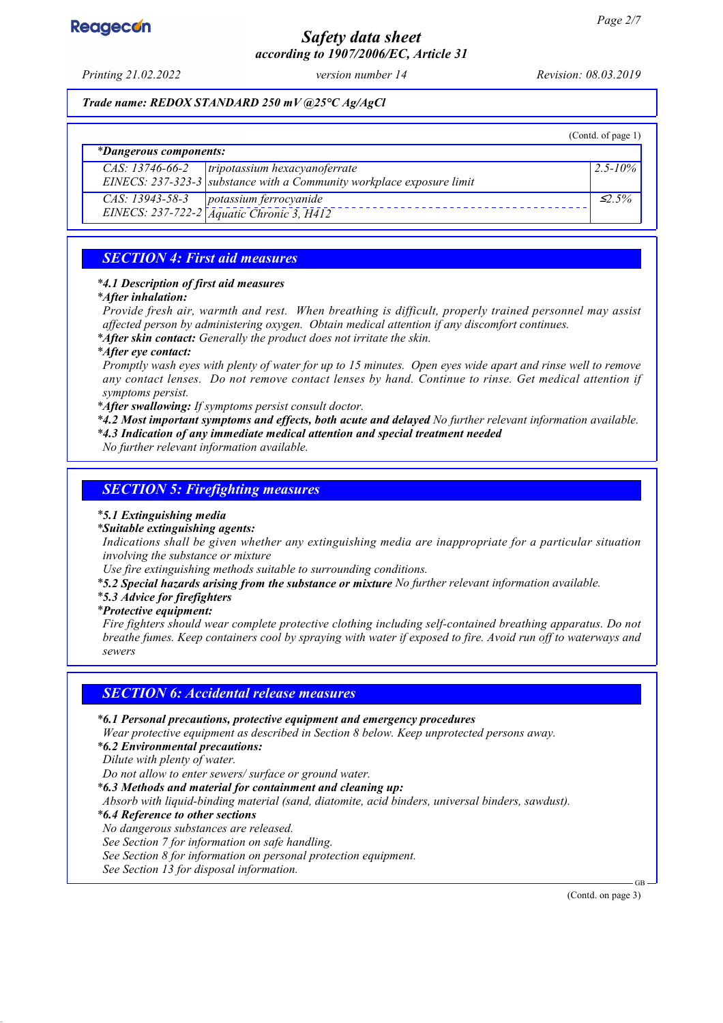

*Printing 21.02.2022 version number 14 Revision: 08.03.2019*

*Trade name: REDOX STANDARD 250 mV @25°C Ag/AgCl*

|                               |                                                                                                                                       | (Contd. of page 1) |
|-------------------------------|---------------------------------------------------------------------------------------------------------------------------------------|--------------------|
| <i>*Dangerous components:</i> |                                                                                                                                       |                    |
|                               | $\overline{CAS: 13746-66-2}$   tripotassium hexacyanoferrate<br>EINECS: 237-323-3 substance with a Community workplace exposure limit | $2.5 - 10\%$       |
| CAS: 13943-58-3               | potassium ferrocyanide<br>EINECS: $237-722-2$ $\bar{A}$ quatic Chronic 3, $\bar{H}412$                                                | $\leq$ 5%          |

## *SECTION 4: First aid measures*

### *\* 4.1 Description of first aid measures*

#### *\* After inhalation:*

*Provide fresh air, warmth and rest. When breathing is difficult, properly trained personnel may assist affected person by administering oxygen. Obtain medical attention if any discomfort continues.*

*\* After skin contact: Generally the product does not irritate the skin.*

#### *\* After eye contact:*

*Promptly wash eyes with plenty of water for up to 15 minutes. Open eyes wide apart and rinse well to remove any contact lenses. Do not remove contact lenses by hand. Continue to rinse. Get medical attention if symptoms persist.*

*\* After swallowing: If symptoms persist consult doctor.*

*\* 4.2 Most important symptoms and effects, both acute and delayed No further relevant information available.*

*\* 4.3 Indication of any immediate medical attention and special treatment needed*

*No further relevant information available.*

### *SECTION 5: Firefighting measures*

#### *\* 5.1 Extinguishing media*

#### *\* Suitable extinguishing agents:*

*Indications shall be given whether any extinguishing media are inappropriate for a particular situation involving the substance or mixture*

*Use fire extinguishing methods suitable to surrounding conditions.*

*\* 5.2 Special hazards arising from the substance or mixture No further relevant information available.*

#### *\* 5.3 Advice for firefighters*

*\* Protective equipment:*

*Fire fighters should wear complete protective clothing including self-contained breathing apparatus. Do not breathe fumes. Keep containers cool by spraying with water if exposed to fire. Avoid run off to waterways and sewers*

### *SECTION 6: Accidental release measures*

#### *\* 6.1 Personal precautions, protective equipment and emergency procedures*

*Wear protective equipment as described in Section 8 below. Keep unprotected persons away.*

*\* 6.2 Environmental precautions:*

*Dilute with plenty of water.*

*Do not allow to enter sewers/ surface or ground water.*

*\* 6.3 Methods and material for containment and cleaning up:*

*Absorb with liquid-binding material (sand, diatomite, acid binders, universal binders, sawdust).*

*\* 6.4 Reference to other sections*

*No dangerous substances are released.*

*See Section 7 for information on safe handling.*

*See Section 8 for information on personal protection equipment.*

*See Section 13 for disposal information.*

(Contd. on page 3)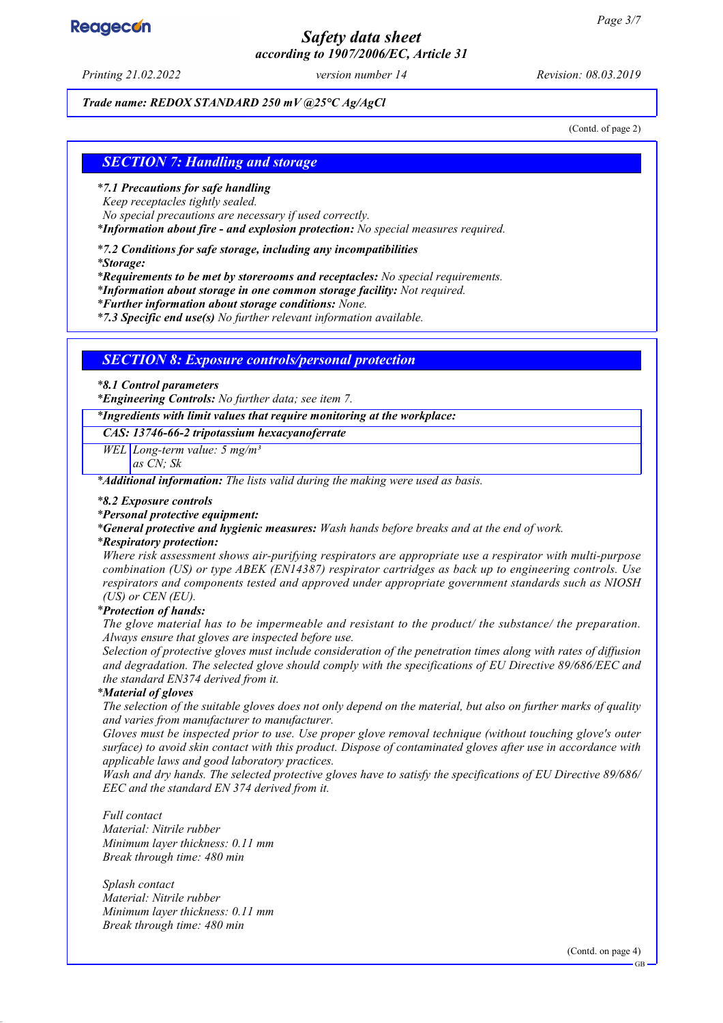# **Reagecon**

## *Safety data sheet according to 1907/2006/EC, Article 31*

*Printing 21.02.2022 version number 14 Revision: 08.03.2019*

#### *Trade name: REDOX STANDARD 250 mV @25°C Ag/AgCl*

(Contd. of page 2)

### *SECTION 7: Handling and storage*

#### *\* 7.1 Precautions for safe handling*

*Keep receptacles tightly sealed.*

*No special precautions are necessary if used correctly.*

*\* Information about fire - and explosion protection: No special measures required.*

#### *\* 7.2 Conditions for safe storage, including any incompatibilities*

*\* Storage:*

*\* Requirements to be met by storerooms and receptacles: No special requirements.*

*\* Information about storage in one common storage facility: Not required.*

*\* Further information about storage conditions: None.*

*\* 7.3 Specific end use(s) No further relevant information available.*

### *SECTION 8: Exposure controls/personal protection*

#### *\* 8.1 Control parameters*

*\* Engineering Controls: No further data; see item 7.*

*\* Ingredients with limit values that require monitoring at the workplace:*

#### *CAS: 13746-66-2 tripotassium hexacyanoferrate*

*WEL Long-term value: 5 mg/m³*

*as CN; Sk*

*\* Additional information: The lists valid during the making were used as basis.*

#### *\* 8.2 Exposure controls*

*\* Personal protective equipment:*

*\* General protective and hygienic measures: Wash hands before breaks and at the end of work.*

#### *\* Respiratory protection:*

*Where risk assessment shows air-purifying respirators are appropriate use a respirator with multi-purpose combination (US) or type ABEK (EN14387) respirator cartridges as back up to engineering controls. Use respirators and components tested and approved under appropriate government standards such as NIOSH (US) or CEN (EU).*

#### *\* Protection of hands:*

*The glove material has to be impermeable and resistant to the product/ the substance/ the preparation. Always ensure that gloves are inspected before use.*

*Selection of protective gloves must include consideration of the penetration times along with rates of diffusion and degradation. The selected glove should comply with the specifications of EU Directive 89/686/EEC and the standard EN374 derived from it.*

#### *\* Material of gloves*

*The selection of the suitable gloves does not only depend on the material, but also on further marks of quality and varies from manufacturer to manufacturer.*

*Gloves must be inspected prior to use. Use proper glove removal technique (without touching glove's outer surface) to avoid skin contact with this product. Dispose of contaminated gloves after use in accordance with applicable laws and good laboratory practices.*

*Wash and dry hands. The selected protective gloves have to satisfy the specifications of EU Directive 89/686/ EEC and the standard EN 374 derived from it.*

*Full contact Material: Nitrile rubber Minimum layer thickness: 0.11 mm Break through time: 480 min*

*Splash contact Material: Nitrile rubber Minimum layer thickness: 0.11 mm Break through time: 480 min*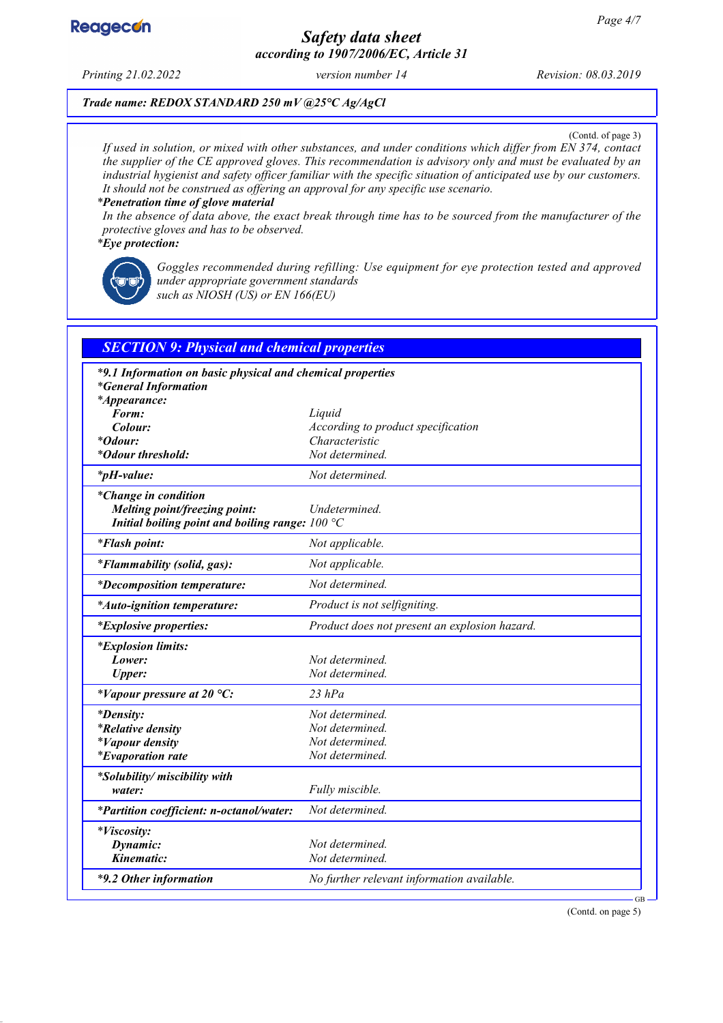

*Printing 21.02.2022 version number 14 Revision: 08.03.2019*

### *Trade name: REDOX STANDARD 250 mV @25°C Ag/AgCl*

(Contd. of page 3)

*If used in solution, or mixed with other substances, and under conditions which differ from EN 374, contact the supplier of the CE approved gloves. This recommendation is advisory only and must be evaluated by an industrial hygienist and safety officer familiar with the specific situation of anticipated use by our customers. It should not be construed as offering an approval for any specific use scenario.*

#### *\* Penetration time of glove material*

*In the absence of data above, the exact break through time has to be sourced from the manufacturer of the protective gloves and has to be observed.*

#### *\* Eye protection:*

*Goggles recommended during refilling: Use equipment for eye protection tested and approved under appropriate government standards such as NIOSH (US) or EN 166(EU)*

| <b>SECTION 9: Physical and chemical properties</b>                                 |                                                      |  |  |
|------------------------------------------------------------------------------------|------------------------------------------------------|--|--|
| *9.1 Information on basic physical and chemical properties                         |                                                      |  |  |
| <i>*General Information</i>                                                        |                                                      |  |  |
| *Appearance:                                                                       |                                                      |  |  |
| Form:<br>Colour:                                                                   | Liquid                                               |  |  |
| <i>*Odour:</i>                                                                     | According to product specification<br>Characteristic |  |  |
| *Odour threshold:                                                                  | Not determined.                                      |  |  |
| <i>*pH-value:</i>                                                                  | Not determined.                                      |  |  |
|                                                                                    |                                                      |  |  |
| *Change in condition                                                               | Undetermined.                                        |  |  |
| Melting point/freezing point:<br>Initial boiling point and boiling range: $100 °C$ |                                                      |  |  |
|                                                                                    |                                                      |  |  |
| <i>*Flash point:</i>                                                               | Not applicable.                                      |  |  |
| <i>*Flammability (solid, gas):</i>                                                 | Not applicable.                                      |  |  |
| <i>*Decomposition temperature:</i>                                                 | Not determined.                                      |  |  |
| *Auto-ignition temperature:                                                        | Product is not selfigniting.                         |  |  |
| <i>*Explosive properties:</i>                                                      | Product does not present an explosion hazard.        |  |  |
| <i>*Explosion limits:</i>                                                          |                                                      |  |  |
| Lower:                                                                             | Not determined.                                      |  |  |
| <b>Upper:</b>                                                                      | Not determined.                                      |  |  |
| *Vapour pressure at 20 $^{\circ}C$ :                                               | $23$ $hPa$                                           |  |  |
| <i>*Density:</i>                                                                   | Not determined.                                      |  |  |
| <i>*Relative density</i>                                                           | Not determined.                                      |  |  |
| <i>*Vapour density</i>                                                             | Not determined.                                      |  |  |
| <i>*Evaporation rate</i>                                                           | Not determined.                                      |  |  |
| *Solubility/ miscibility with                                                      |                                                      |  |  |
| water:                                                                             | Fully miscible.                                      |  |  |
| *Partition coefficient: n-octanol/water:                                           | Not determined.                                      |  |  |
| *Viscosity:                                                                        |                                                      |  |  |
| Dynamic:                                                                           | Not determined.                                      |  |  |
| Kinematic:                                                                         | Not determined.                                      |  |  |
| *9.2 Other information                                                             | No further relevant information available.           |  |  |

(Contd. on page 5)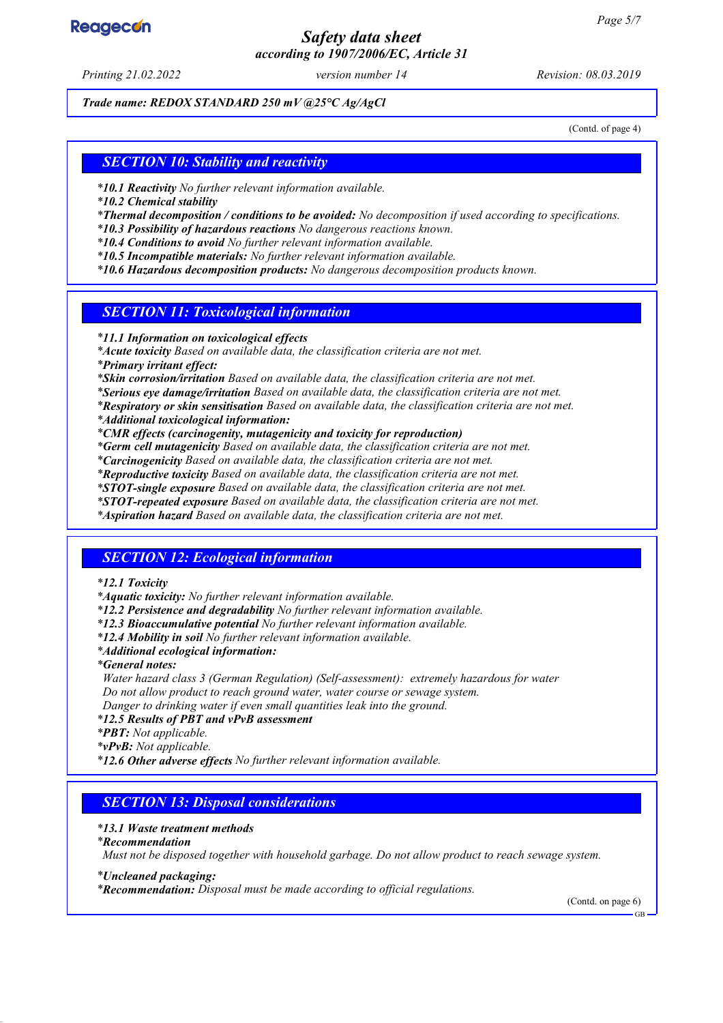# **Reagecon**

## *Safety data sheet according to 1907/2006/EC, Article 31*

*Printing 21.02.2022 version number 14 Revision: 08.03.2019*

*Trade name: REDOX STANDARD 250 mV @25°C Ag/AgCl*

(Contd. of page 4)

### *SECTION 10: Stability and reactivity*

*\* 10.1 Reactivity No further relevant information available.*

*\* 10.2 Chemical stability*

*\* Thermal decomposition / conditions to be avoided: No decomposition if used according to specifications.*

*\* 10.3 Possibility of hazardous reactions No dangerous reactions known.*

*\* 10.4 Conditions to avoid No further relevant information available.*

*\* 10.5 Incompatible materials: No further relevant information available.*

*\* 10.6 Hazardous decomposition products: No dangerous decomposition products known.*

## *SECTION 11: Toxicological information*

*\* 11.1 Information on toxicological effects*

*\* Acute toxicity Based on available data, the classification criteria are not met.*

*\* Primary irritant effect:*

*\* Skin corrosion/irritation Based on available data, the classification criteria are not met.*

*\* Serious eye damage/irritation Based on available data, the classification criteria are not met.*

*\* Respiratory or skin sensitisation Based on available data, the classification criteria are not met.*

*\* Additional toxicological information:*

*\* CMR effects (carcinogenity, mutagenicity and toxicity for reproduction)*

*\* Germ cell mutagenicity Based on available data, the classification criteria are not met.*

*\* Carcinogenicity Based on available data, the classification criteria are not met.*

*\* Reproductive toxicity Based on available data, the classification criteria are not met.*

*\* STOT-single exposure Based on available data, the classification criteria are not met.*

*\* STOT-repeated exposure Based on available data, the classification criteria are not met.*

*\* Aspiration hazard Based on available data, the classification criteria are not met.*

### *SECTION 12: Ecological information*

*\* 12.1 Toxicity*

*\* Aquatic toxicity: No further relevant information available.*

*\* 12.2 Persistence and degradability No further relevant information available.*

*\* 12.3 Bioaccumulative potential No further relevant information available.*

*\* 12.4 Mobility in soil No further relevant information available.*

*\* Additional ecological information:*

*\* General notes:*

*Water hazard class 3 (German Regulation) (Self-assessment): extremely hazardous for water Do not allow product to reach ground water, water course or sewage system.*

*Danger to drinking water if even small quantities leak into the ground.*

*\* 12.5 Results of PBT and vPvB assessment*

*\* PBT: Not applicable.*

*\* vPvB: Not applicable.*

*\* 12.6 Other adverse effects No further relevant information available.*

## *SECTION 13: Disposal considerations*

### *\* 13.1 Waste treatment methods*

*\* Recommendation*

*Must not be disposed together with household garbage. Do not allow product to reach sewage system.*

#### *\* Uncleaned packaging:*

*\* Recommendation: Disposal must be made according to official regulations.*

(Contd. on page 6)

GB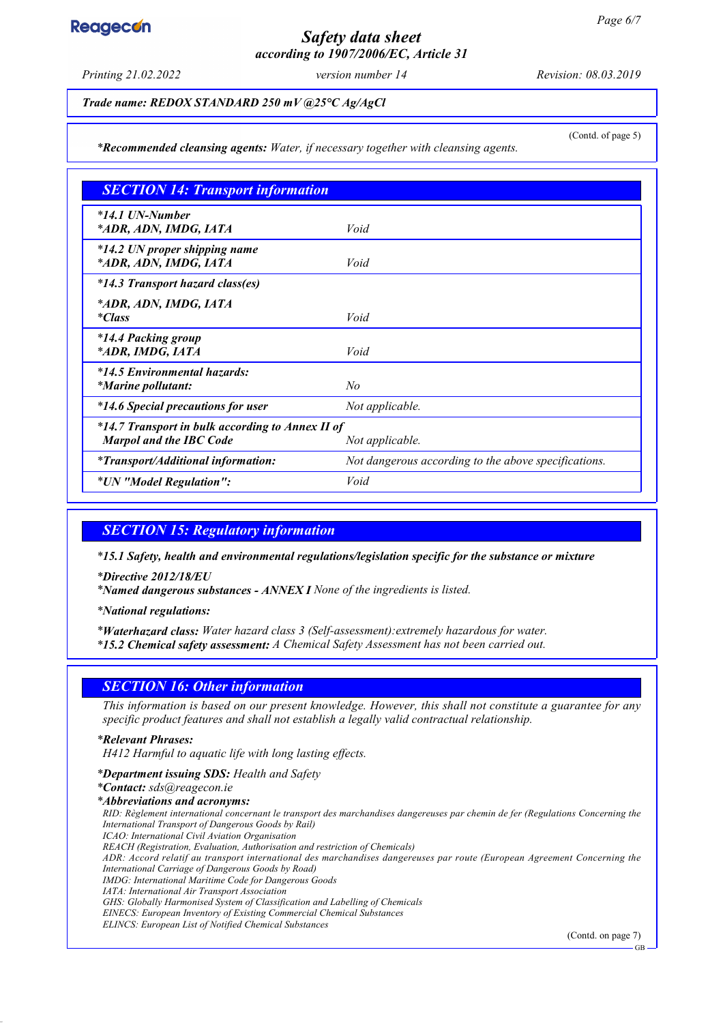**Reagecon** 

*Printing 21.02.2022 version number 14 Revision: 08.03.2019*

*Trade name: REDOX STANDARD 250 mV @25°C Ag/AgCl*

(Contd. of page 5)

*\* Recommended cleansing agents: Water, if necessary together with cleansing agents.*

| <b>SECTION 14: Transport information</b>                                                              |                                                      |  |  |
|-------------------------------------------------------------------------------------------------------|------------------------------------------------------|--|--|
| $*14.1$ UN-Number<br>*ADR, ADN, IMDG, IATA                                                            | Void                                                 |  |  |
| *14.2 UN proper shipping name<br>*ADR, ADN, IMDG, IATA                                                | Void                                                 |  |  |
| *14.3 Transport hazard class(es)                                                                      |                                                      |  |  |
| *ADR, ADN, IMDG, IATA<br><i>*Class</i>                                                                | Void                                                 |  |  |
| <i>*14.4 Packing group</i><br>*ADR, IMDG, IATA                                                        | Void                                                 |  |  |
| *14.5 Environmental hazards:<br><i>*Marine pollutant:</i>                                             | No                                                   |  |  |
| *14.6 Special precautions for user                                                                    | Not applicable.                                      |  |  |
| *14.7 Transport in bulk according to Annex II of<br><b>Marpol and the IBC Code</b><br>Not applicable. |                                                      |  |  |
| <i>*Transport/Additional information:</i>                                                             | Not dangerous according to the above specifications. |  |  |
| *UN "Model Regulation":                                                                               | Void                                                 |  |  |

### *SECTION 15: Regulatory information*

*\* 15.1 Safety, health and environmental regulations/legislation specific for the substance or mixture*

*\* Directive 2012/18/EU*

*\* Named dangerous substances - ANNEX I None of the ingredients is listed.*

*\* National regulations:*

*\* Waterhazard class: Water hazard class 3 (Self-assessment):extremely hazardous for water. \* 15.2 Chemical safety assessment: A Chemical Safety Assessment has not been carried out.*

## *SECTION 16: Other information*

*This information is based on our present knowledge. However, this shall not constitute a guarantee for any specific product features and shall not establish a legally valid contractual relationship.*

*\* Relevant Phrases:*

*H412 Harmful to aquatic life with long lasting effects.*

*\* Department issuing SDS: Health and Safety*

*\* Contact: sds@reagecon.ie*

*RID: Règlement international concernant le transport des marchandises dangereuses par chemin de fer (Regulations Concerning the International Transport of Dangerous Goods by Rail)*

*ICAO: International Civil Aviation Organisation*

*REACH (Registration, Evaluation, Authorisation and restriction of Chemicals)*

*ADR: Accord relatif au transport international des marchandises dangereuses par route (European Agreement Concerning the International Carriage of Dangerous Goods by Road)*

*IMDG: International Maritime Code for Dangerous Goods*

*IATA: International Air Transport Association*

*GHS: Globally Harmonised System of Classification and Labelling of Chemicals EINECS: European Inventory of Existing Commercial Chemical Substances*

*ELINCS: European List of Notified Chemical Substances*

(Contd. on page 7)

*<sup>\*</sup> Abbreviations and acronyms:*

GB